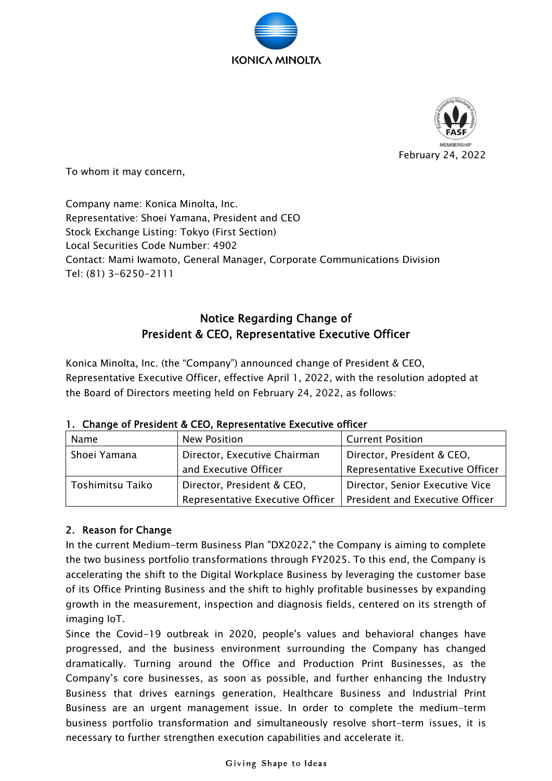



To whom it may concern,

Company name: Konica Minolta, Inc. Representative: Shoei Yamana, President and CEO Stock Exchange Listing: Tokyo (First Section) Local Securities Code Number: 4902 Contact: Mami Iwamoto, General Manager, Corporate Communications Division Tel: (81) 3-6250-2111

# Notice Regarding Change of President & CEO, Representative Executive Officer

Konica Minolta, Inc. (the "Company") announced change of President & CEO, Representative Executive Officer, effective April 1, 2022, with the resolution adopted at the Board of Directors meeting held on February 24, 2022, as follows:

| Name             | New Position                     | <b>Current Position</b>          |
|------------------|----------------------------------|----------------------------------|
| Shoei Yamana     | Director, Executive Chairman     | Director, President & CEO,       |
|                  | and Executive Officer            | Representative Executive Officer |
| Toshimitsu Taiko | Director, President & CEO,       | Director, Senior Executive Vice  |
|                  | Representative Executive Officer | President and Executive Officer  |

### 1. Change of President & CEO, Representative Executive officer

### 2. Reason for Change

In the current Medium-term Business Plan "DX2022," the Company is aiming to complete the two business portfolio transformations through FY2025. To this end, the Company is accelerating the shift to the Digital Workplace Business by leveraging the customer base of its Office Printing Business and the shift to highly profitable businesses by expanding growth in the measurement, inspection and diagnosis fields, centered on its strength of imaging IoT.

Since the Covid-19 outbreak in 2020, people's values and behavioral changes have progressed, and the business environment surrounding the Company has changed dramatically. Turning around the Office and Production Print Businesses, as the Company's core businesses, as soon as possible, and further enhancing the Industry Business that drives earnings generation, Healthcare Business and Industrial Print Business are an urgent management issue. In order to complete the medium-term business portfolio transformation and simultaneously resolve short-term issues, it is necessary to further strengthen execution capabilities and accelerate it.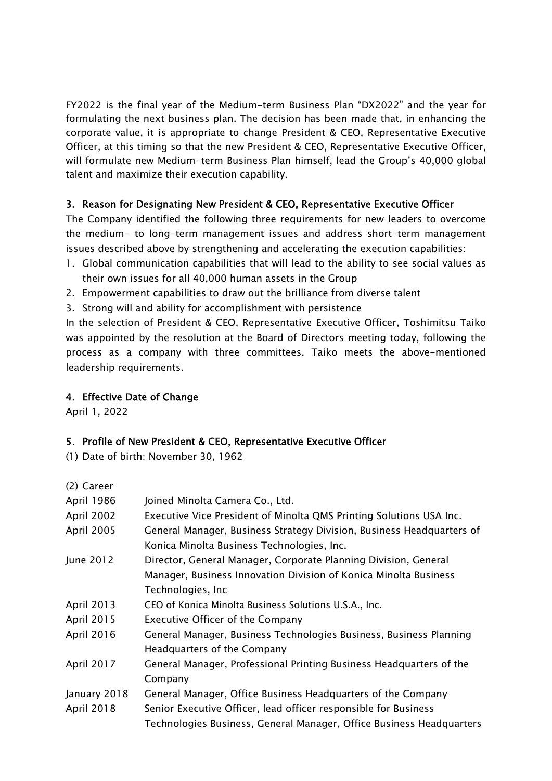FY2022 is the final year of the Medium-term Business Plan "DX2022" and the year for formulating the next business plan. The decision has been made that, in enhancing the corporate value, it is appropriate to change President & CEO, Representative Executive Officer, at this timing so that the new President & CEO, Representative Executive Officer, will formulate new Medium-term Business Plan himself, lead the Group's 40,000 global talent and maximize their execution capability.

### 3. Reason for Designating New President & CEO, Representative Executive Officer

The Company identified the following three requirements for new leaders to overcome the medium- to long-term management issues and address short-term management issues described above by strengthening and accelerating the execution capabilities:

- 1. Global communication capabilities that will lead to the ability to see social values as their own issues for all 40,000 human assets in the Group
- 2. Empowerment capabilities to draw out the brilliance from diverse talent
- 3. Strong will and ability for accomplishment with persistence

In the selection of President & CEO, Representative Executive Officer, Toshimitsu Taiko was appointed by the resolution at the Board of Directors meeting today, following the process as a company with three committees. Taiko meets the above-mentioned leadership requirements.

## 4. Effective Date of Change

April 1, 2022

# 5. Profile of New President & CEO, Representative Executive Officer

(1) Date of birth: November 30, 1962

| (2) Career |
|------------|
|            |

| <b>April 1986</b> | Joined Minolta Camera Co., Ltd.                                       |
|-------------------|-----------------------------------------------------------------------|
| April 2002        | Executive Vice President of Minolta QMS Printing Solutions USA Inc.   |
| <b>April 2005</b> | General Manager, Business Strategy Division, Business Headquarters of |
|                   | Konica Minolta Business Technologies, Inc.                            |
| June 2012         | Director, General Manager, Corporate Planning Division, General       |
|                   | Manager, Business Innovation Division of Konica Minolta Business      |
|                   | Technologies, Inc.                                                    |
| April 2013        | CEO of Konica Minolta Business Solutions U.S.A., Inc.                 |
| April 2015        | Executive Officer of the Company                                      |
| April 2016        | General Manager, Business Technologies Business, Business Planning    |
|                   | Headquarters of the Company                                           |
| <b>April 2017</b> | General Manager, Professional Printing Business Headquarters of the   |
|                   | Company                                                               |
| January 2018      | General Manager, Office Business Headquarters of the Company          |
| April 2018        | Senior Executive Officer, lead officer responsible for Business       |
|                   | Technologies Business, General Manager, Office Business Headquarters  |